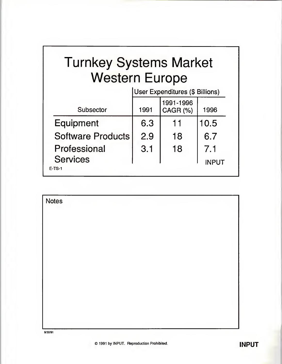## Turnkey Systems Market Western Europe

|                   | User Expenditures (\$ Billions) |                       |       |
|-------------------|---------------------------------|-----------------------|-------|
| Subsector         | 1991                            | 1991-1996<br>CAGR (%) | 1996  |
| Equipment         | 6.3                             | 11                    | 10.5  |
| Software Products | 2.9                             | 18                    | 6.7   |
| Professional      | 3.1                             | 18                    | 7.1   |
| <b>Services</b>   |                                 |                       | INPUT |
| $E-TS-1$          |                                 |                       |       |

| Notes |
|-------|
|       |
|       |
|       |
|       |
|       |
|       |
|       |
|       |
|       |

9/30/91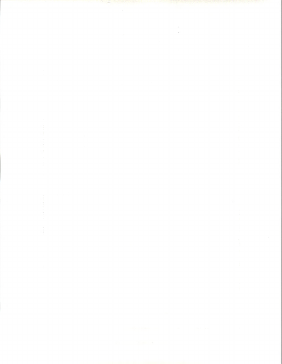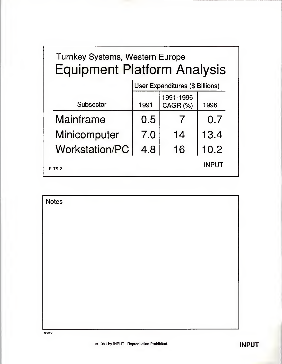| Turnkey Systems, Western Europe<br><b>Equipment Platform Analysis</b> |      |                                 |       |  |  |
|-----------------------------------------------------------------------|------|---------------------------------|-------|--|--|
|                                                                       |      | User Expenditures (\$ Billions) |       |  |  |
| Subsector                                                             | 1991 | 1991-1996<br><b>CAGR (%)</b>    | 1996  |  |  |
| Mainframe                                                             | 0.5  |                                 | 0.7   |  |  |
| Minicomputer                                                          | 7.0  | 14                              | 13.4  |  |  |
| <b>Workstation/PC</b>                                                 | 4.8  | 16                              | 10.2  |  |  |
| $E-TS-2$                                                              |      |                                 | INPUT |  |  |

| Notes |  |  |  |
|-------|--|--|--|
|       |  |  |  |
|       |  |  |  |
|       |  |  |  |
|       |  |  |  |
|       |  |  |  |
|       |  |  |  |
|       |  |  |  |
|       |  |  |  |

»3cvgi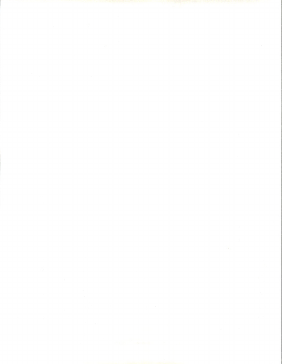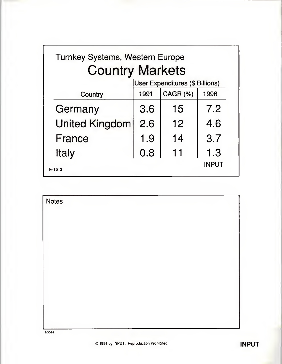| Turnkey Systems, Western Europe<br><b>Country Markets</b> |          |       |  |
|-----------------------------------------------------------|----------|-------|--|
| User Expenditures (\$ Billions)                           |          |       |  |
| 1991                                                      | CAGR (%) | 1996  |  |
| 3.6                                                       | 15       | 7.2   |  |
| 2.6                                                       | 12       | 4.6   |  |
| 1.9                                                       | 14       | 3.7   |  |
| 0.8                                                       | 11       | 1.3   |  |
|                                                           |          | INPUT |  |
|                                                           |          |       |  |

| Notes |  |  |
|-------|--|--|
|       |  |  |
|       |  |  |
|       |  |  |
|       |  |  |
|       |  |  |
|       |  |  |
|       |  |  |

9/30/91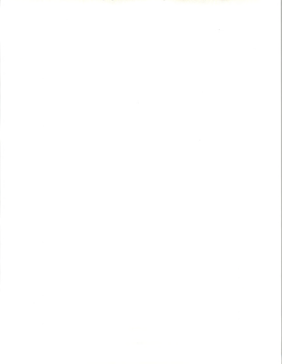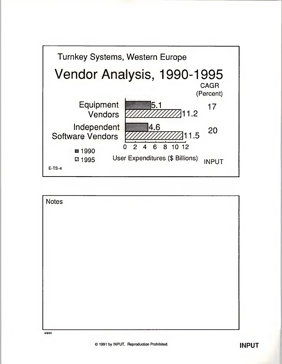

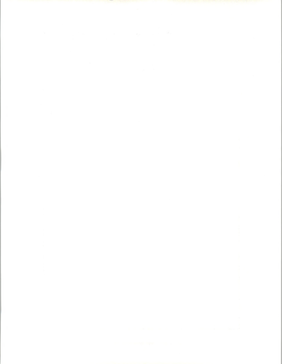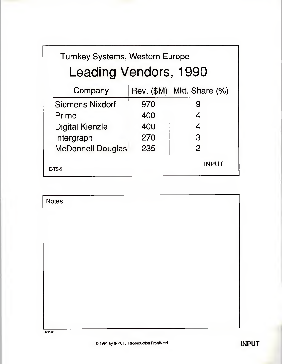| Turnkey Systems, Western Europe<br>Leading Vendors, 1990 |     |                           |  |
|----------------------------------------------------------|-----|---------------------------|--|
| Company                                                  |     | Rev. (\$M) Mkt. Share (%) |  |
| <b>Siemens Nixdorf</b>                                   | 970 |                           |  |
| Prime                                                    | 400 |                           |  |
| Digital Kienzle                                          | 400 |                           |  |
| Intergraph                                               | 270 | з                         |  |
| McDonnell Douglas                                        | 235 | 2                         |  |
| $F-TS-5$                                                 |     | INPUT                     |  |

| Notes |  |  |
|-------|--|--|
|       |  |  |
|       |  |  |
|       |  |  |
|       |  |  |
|       |  |  |
|       |  |  |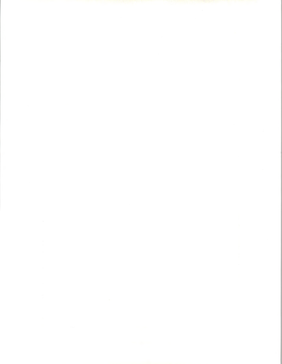